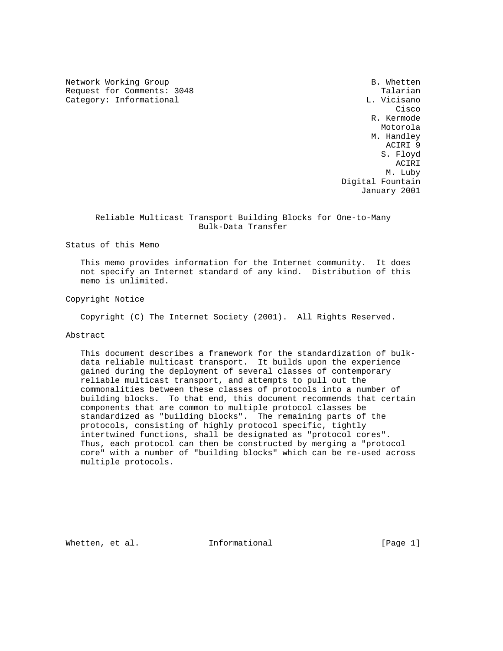Network Working Group and the set of the set of the set of the set of the set of the set of the set of the set of the set of the set of the set of the set of the set of the set of the set of the set of the set of the set o Request for Comments: 3048 Talarian Category: Informational Category: L. Vicisano

**Cisco de la contrata de la contrata de la contrata de la contrata de la contrata de la contrata de la contrat**  R. Kermode Motorola M. Handley ACIRI 9 S. Floyd ACIRI M. Luby Digital Fountain January 2001

 Reliable Multicast Transport Building Blocks for One-to-Many Bulk-Data Transfer

Status of this Memo

 This memo provides information for the Internet community. It does not specify an Internet standard of any kind. Distribution of this memo is unlimited.

Copyright Notice

Copyright (C) The Internet Society (2001). All Rights Reserved.

# Abstract

 This document describes a framework for the standardization of bulk data reliable multicast transport. It builds upon the experience gained during the deployment of several classes of contemporary reliable multicast transport, and attempts to pull out the commonalities between these classes of protocols into a number of building blocks. To that end, this document recommends that certain components that are common to multiple protocol classes be standardized as "building blocks". The remaining parts of the protocols, consisting of highly protocol specific, tightly intertwined functions, shall be designated as "protocol cores". Thus, each protocol can then be constructed by merging a "protocol core" with a number of "building blocks" which can be re-used across multiple protocols.

Whetten, et al. **Informational** [Page 1]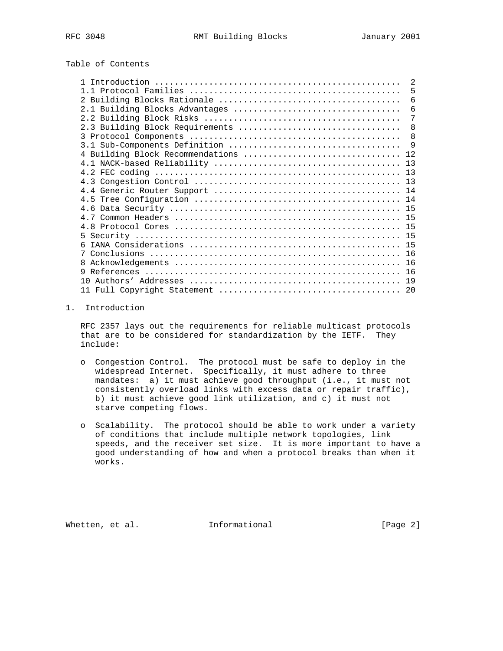# Table of Contents

|                                      | $\mathfrak{D}$ |
|--------------------------------------|----------------|
|                                      | 5              |
|                                      | 6              |
|                                      | 6              |
|                                      | $\overline{7}$ |
| 2.3 Building Block Requirements      | 8              |
|                                      | 8              |
|                                      | - 9            |
| 4 Building Block Recommendations  12 |                |
|                                      |                |
|                                      |                |
|                                      |                |
|                                      |                |
|                                      |                |
|                                      |                |
|                                      |                |
|                                      |                |
|                                      |                |
| 6                                    |                |
|                                      |                |
| 8                                    |                |
|                                      |                |
|                                      |                |
|                                      |                |

## 1. Introduction

 RFC 2357 lays out the requirements for reliable multicast protocols that are to be considered for standardization by the IETF. They include:

- o Congestion Control. The protocol must be safe to deploy in the widespread Internet. Specifically, it must adhere to three mandates: a) it must achieve good throughput (i.e., it must not consistently overload links with excess data or repair traffic), b) it must achieve good link utilization, and c) it must not starve competing flows.
- o Scalability. The protocol should be able to work under a variety of conditions that include multiple network topologies, link speeds, and the receiver set size. It is more important to have a good understanding of how and when a protocol breaks than when it works.

Whetten, et al. **Informational** [Page 2]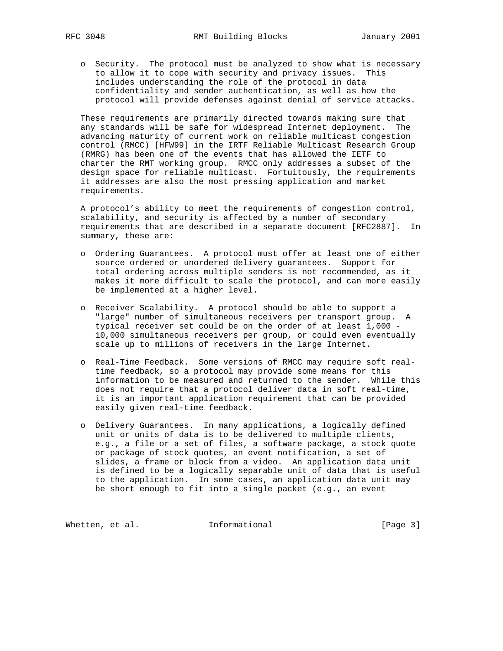o Security. The protocol must be analyzed to show what is necessary to allow it to cope with security and privacy issues. This includes understanding the role of the protocol in data confidentiality and sender authentication, as well as how the protocol will provide defenses against denial of service attacks.

 These requirements are primarily directed towards making sure that any standards will be safe for widespread Internet deployment. The advancing maturity of current work on reliable multicast congestion control (RMCC) [HFW99] in the IRTF Reliable Multicast Research Group (RMRG) has been one of the events that has allowed the IETF to charter the RMT working group. RMCC only addresses a subset of the design space for reliable multicast. Fortuitously, the requirements it addresses are also the most pressing application and market requirements.

 A protocol's ability to meet the requirements of congestion control, scalability, and security is affected by a number of secondary requirements that are described in a separate document [RFC2887]. In summary, these are:

- o Ordering Guarantees. A protocol must offer at least one of either source ordered or unordered delivery guarantees. Support for total ordering across multiple senders is not recommended, as it makes it more difficult to scale the protocol, and can more easily be implemented at a higher level.
- o Receiver Scalability. A protocol should be able to support a "large" number of simultaneous receivers per transport group. A typical receiver set could be on the order of at least 1,000 - 10,000 simultaneous receivers per group, or could even eventually scale up to millions of receivers in the large Internet.
- o Real-Time Feedback. Some versions of RMCC may require soft real time feedback, so a protocol may provide some means for this information to be measured and returned to the sender. While this does not require that a protocol deliver data in soft real-time, it is an important application requirement that can be provided easily given real-time feedback.
- o Delivery Guarantees. In many applications, a logically defined unit or units of data is to be delivered to multiple clients, e.g., a file or a set of files, a software package, a stock quote or package of stock quotes, an event notification, a set of slides, a frame or block from a video. An application data unit is defined to be a logically separable unit of data that is useful to the application. In some cases, an application data unit may be short enough to fit into a single packet (e.g., an event

Whetten, et al. **Informational** [Page 3]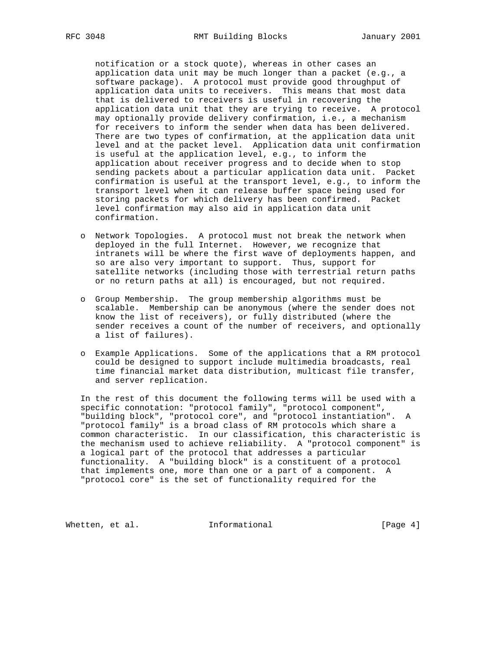notification or a stock quote), whereas in other cases an application data unit may be much longer than a packet (e.g., a software package). A protocol must provide good throughput of application data units to receivers. This means that most data that is delivered to receivers is useful in recovering the application data unit that they are trying to receive. A protocol may optionally provide delivery confirmation, i.e., a mechanism for receivers to inform the sender when data has been delivered. There are two types of confirmation, at the application data unit level and at the packet level. Application data unit confirmation is useful at the application level, e.g., to inform the application about receiver progress and to decide when to stop sending packets about a particular application data unit. Packet confirmation is useful at the transport level, e.g., to inform the transport level when it can release buffer space being used for storing packets for which delivery has been confirmed. Packet level confirmation may also aid in application data unit confirmation.

- o Network Topologies. A protocol must not break the network when deployed in the full Internet. However, we recognize that intranets will be where the first wave of deployments happen, and so are also very important to support. Thus, support for satellite networks (including those with terrestrial return paths or no return paths at all) is encouraged, but not required.
- o Group Membership. The group membership algorithms must be scalable. Membership can be anonymous (where the sender does not know the list of receivers), or fully distributed (where the sender receives a count of the number of receivers, and optionally a list of failures).
- o Example Applications. Some of the applications that a RM protocol could be designed to support include multimedia broadcasts, real time financial market data distribution, multicast file transfer, and server replication.

 In the rest of this document the following terms will be used with a specific connotation: "protocol family", "protocol component", "building block", "protocol core", and "protocol instantiation". A "protocol family" is a broad class of RM protocols which share a common characteristic. In our classification, this characteristic is the mechanism used to achieve reliability. A "protocol component" is a logical part of the protocol that addresses a particular functionality. A "building block" is a constituent of a protocol that implements one, more than one or a part of a component. A "protocol core" is the set of functionality required for the

Whetten, et al. **Informational** [Page 4]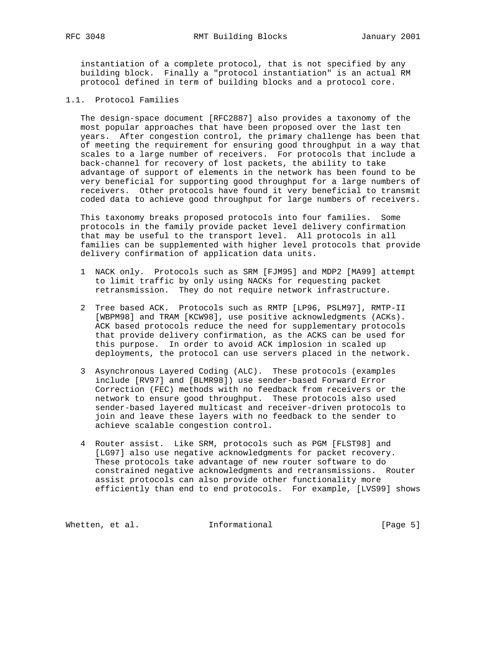instantiation of a complete protocol, that is not specified by any building block. Finally a "protocol instantiation" is an actual RM protocol defined in term of building blocks and a protocol core.

1.1. Protocol Families

 The design-space document [RFC2887] also provides a taxonomy of the most popular approaches that have been proposed over the last ten years. After congestion control, the primary challenge has been that of meeting the requirement for ensuring good throughput in a way that scales to a large number of receivers. For protocols that include a back-channel for recovery of lost packets, the ability to take advantage of support of elements in the network has been found to be very beneficial for supporting good throughput for a large numbers of receivers. Other protocols have found it very beneficial to transmit coded data to achieve good throughput for large numbers of receivers.

 This taxonomy breaks proposed protocols into four families. Some protocols in the family provide packet level delivery confirmation that may be useful to the transport level. All protocols in all families can be supplemented with higher level protocols that provide delivery confirmation of application data units.

- 1 NACK only. Protocols such as SRM [FJM95] and MDP2 [MA99] attempt to limit traffic by only using NACKs for requesting packet retransmission. They do not require network infrastructure.
- 2 Tree based ACK. Protocols such as RMTP [LP96, PSLM97], RMTP-II [WBPM98] and TRAM [KCW98], use positive acknowledgments (ACKs). ACK based protocols reduce the need for supplementary protocols that provide delivery confirmation, as the ACKS can be used for this purpose. In order to avoid ACK implosion in scaled up deployments, the protocol can use servers placed in the network.
- 3 Asynchronous Layered Coding (ALC). These protocols (examples include [RV97] and [BLMR98]) use sender-based Forward Error Correction (FEC) methods with no feedback from receivers or the network to ensure good throughput. These protocols also used sender-based layered multicast and receiver-driven protocols to join and leave these layers with no feedback to the sender to achieve scalable congestion control.
- 4 Router assist. Like SRM, protocols such as PGM [FLST98] and [LG97] also use negative acknowledgments for packet recovery. These protocols take advantage of new router software to do constrained negative acknowledgments and retransmissions. Router assist protocols can also provide other functionality more efficiently than end to end protocols. For example, [LVS99] shows

Whetten, et al. **Informational** [Page 5]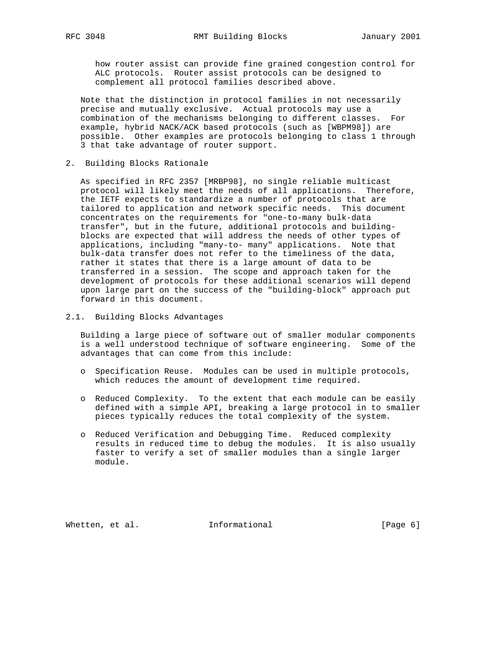how router assist can provide fine grained congestion control for ALC protocols. Router assist protocols can be designed to complement all protocol families described above.

 Note that the distinction in protocol families in not necessarily precise and mutually exclusive. Actual protocols may use a combination of the mechanisms belonging to different classes. For example, hybrid NACK/ACK based protocols (such as [WBPM98]) are possible. Other examples are protocols belonging to class 1 through 3 that take advantage of router support.

2. Building Blocks Rationale

 As specified in RFC 2357 [MRBP98], no single reliable multicast protocol will likely meet the needs of all applications. Therefore, the IETF expects to standardize a number of protocols that are tailored to application and network specific needs. This document concentrates on the requirements for "one-to-many bulk-data transfer", but in the future, additional protocols and building blocks are expected that will address the needs of other types of applications, including "many-to- many" applications. Note that bulk-data transfer does not refer to the timeliness of the data, rather it states that there is a large amount of data to be transferred in a session. The scope and approach taken for the development of protocols for these additional scenarios will depend upon large part on the success of the "building-block" approach put forward in this document.

2.1. Building Blocks Advantages

 Building a large piece of software out of smaller modular components is a well understood technique of software engineering. Some of the advantages that can come from this include:

- o Specification Reuse. Modules can be used in multiple protocols, which reduces the amount of development time required.
- o Reduced Complexity. To the extent that each module can be easily defined with a simple API, breaking a large protocol in to smaller pieces typically reduces the total complexity of the system.
- o Reduced Verification and Debugging Time. Reduced complexity results in reduced time to debug the modules. It is also usually faster to verify a set of smaller modules than a single larger module.

Whetten, et al. **Informational** [Page 6]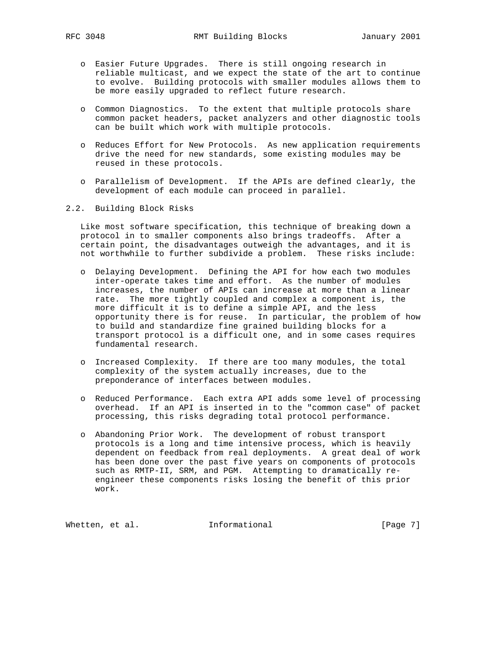- o Easier Future Upgrades. There is still ongoing research in reliable multicast, and we expect the state of the art to continue to evolve. Building protocols with smaller modules allows them to be more easily upgraded to reflect future research.
- o Common Diagnostics. To the extent that multiple protocols share common packet headers, packet analyzers and other diagnostic tools can be built which work with multiple protocols.
- o Reduces Effort for New Protocols. As new application requirements drive the need for new standards, some existing modules may be reused in these protocols.
- o Parallelism of Development. If the APIs are defined clearly, the development of each module can proceed in parallel.
- 2.2. Building Block Risks

 Like most software specification, this technique of breaking down a protocol in to smaller components also brings tradeoffs. After a certain point, the disadvantages outweigh the advantages, and it is not worthwhile to further subdivide a problem. These risks include:

- o Delaying Development. Defining the API for how each two modules inter-operate takes time and effort. As the number of modules increases, the number of APIs can increase at more than a linear rate. The more tightly coupled and complex a component is, the more difficult it is to define a simple API, and the less opportunity there is for reuse. In particular, the problem of how to build and standardize fine grained building blocks for a transport protocol is a difficult one, and in some cases requires fundamental research.
- o Increased Complexity. If there are too many modules, the total complexity of the system actually increases, due to the preponderance of interfaces between modules.
- o Reduced Performance. Each extra API adds some level of processing overhead. If an API is inserted in to the "common case" of packet processing, this risks degrading total protocol performance.
- o Abandoning Prior Work. The development of robust transport protocols is a long and time intensive process, which is heavily dependent on feedback from real deployments. A great deal of work has been done over the past five years on components of protocols such as RMTP-II, SRM, and PGM. Attempting to dramatically re engineer these components risks losing the benefit of this prior work.

Whetten, et al. 1nformational 1999 [Page 7]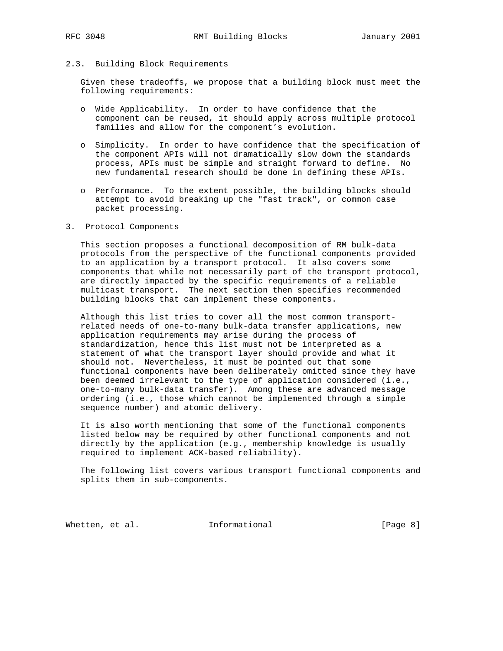## 2.3. Building Block Requirements

 Given these tradeoffs, we propose that a building block must meet the following requirements:

- o Wide Applicability. In order to have confidence that the component can be reused, it should apply across multiple protocol families and allow for the component's evolution.
- o Simplicity. In order to have confidence that the specification of the component APIs will not dramatically slow down the standards process, APIs must be simple and straight forward to define. No new fundamental research should be done in defining these APIs.
- o Performance. To the extent possible, the building blocks should attempt to avoid breaking up the "fast track", or common case packet processing.

# 3. Protocol Components

 This section proposes a functional decomposition of RM bulk-data protocols from the perspective of the functional components provided to an application by a transport protocol. It also covers some components that while not necessarily part of the transport protocol, are directly impacted by the specific requirements of a reliable multicast transport. The next section then specifies recommended building blocks that can implement these components.

 Although this list tries to cover all the most common transport related needs of one-to-many bulk-data transfer applications, new application requirements may arise during the process of standardization, hence this list must not be interpreted as a statement of what the transport layer should provide and what it should not. Nevertheless, it must be pointed out that some functional components have been deliberately omitted since they have been deemed irrelevant to the type of application considered (i.e., one-to-many bulk-data transfer). Among these are advanced message ordering (i.e., those which cannot be implemented through a simple sequence number) and atomic delivery.

 It is also worth mentioning that some of the functional components listed below may be required by other functional components and not directly by the application (e.g., membership knowledge is usually required to implement ACK-based reliability).

 The following list covers various transport functional components and splits them in sub-components.

Whetten, et al. **Informational** [Page 8]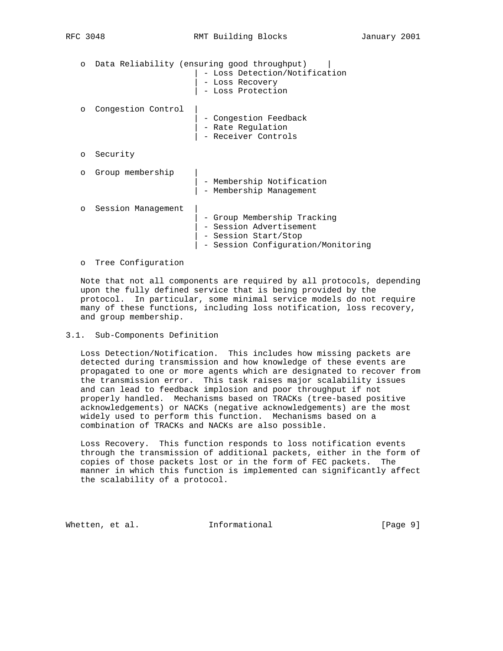|                    | Data Reliability (ensuring good throughput)<br>Loss Detection/Notification<br>- Loss Recovery<br>- Loss Protection   |
|--------------------|----------------------------------------------------------------------------------------------------------------------|
| Congestion Control | - Congestion Feedback<br>- Rate Regulation<br>- Receiver Controls                                                    |
| Security           |                                                                                                                      |
| Group membership   | - Membership Notification<br>Membership Management                                                                   |
| Session Management | - Group Membership Tracking<br>- Session Advertisement<br>- Session Start/Stop<br>- Session Configuration/Monitoring |
|                    |                                                                                                                      |

#### o Tree Configuration

 Note that not all components are required by all protocols, depending upon the fully defined service that is being provided by the protocol. In particular, some minimal service models do not require many of these functions, including loss notification, loss recovery, and group membership.

#### 3.1. Sub-Components Definition

 Loss Detection/Notification. This includes how missing packets are detected during transmission and how knowledge of these events are propagated to one or more agents which are designated to recover from the transmission error. This task raises major scalability issues and can lead to feedback implosion and poor throughput if not properly handled. Mechanisms based on TRACKs (tree-based positive acknowledgements) or NACKs (negative acknowledgements) are the most widely used to perform this function. Mechanisms based on a combination of TRACKs and NACKs are also possible.

 Loss Recovery. This function responds to loss notification events through the transmission of additional packets, either in the form of copies of those packets lost or in the form of FEC packets. The manner in which this function is implemented can significantly affect the scalability of a protocol.

Whetten, et al. **Informational** [Page 9]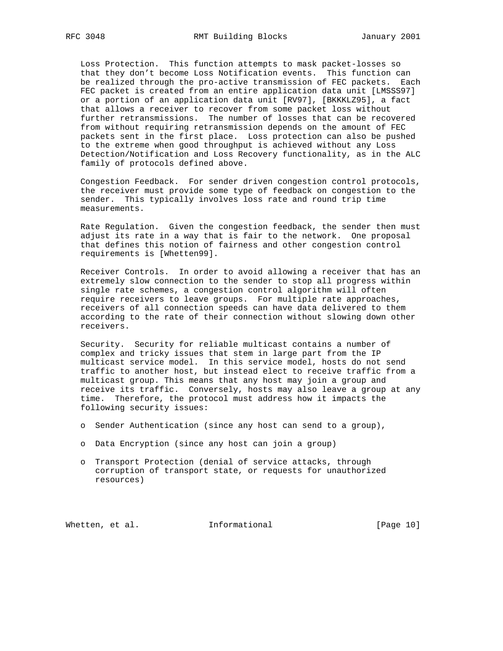Loss Protection. This function attempts to mask packet-losses so that they don't become Loss Notification events. This function can be realized through the pro-active transmission of FEC packets. Each FEC packet is created from an entire application data unit [LMSSS97] or a portion of an application data unit [RV97], [BKKKLZ95], a fact that allows a receiver to recover from some packet loss without further retransmissions. The number of losses that can be recovered from without requiring retransmission depends on the amount of FEC packets sent in the first place. Loss protection can also be pushed to the extreme when good throughput is achieved without any Loss Detection/Notification and Loss Recovery functionality, as in the ALC family of protocols defined above.

 Congestion Feedback. For sender driven congestion control protocols, the receiver must provide some type of feedback on congestion to the sender. This typically involves loss rate and round trip time measurements.

 Rate Regulation. Given the congestion feedback, the sender then must adjust its rate in a way that is fair to the network. One proposal that defines this notion of fairness and other congestion control requirements is [Whetten99].

 Receiver Controls. In order to avoid allowing a receiver that has an extremely slow connection to the sender to stop all progress within single rate schemes, a congestion control algorithm will often require receivers to leave groups. For multiple rate approaches, receivers of all connection speeds can have data delivered to them according to the rate of their connection without slowing down other receivers.

 Security. Security for reliable multicast contains a number of complex and tricky issues that stem in large part from the IP multicast service model. In this service model, hosts do not send traffic to another host, but instead elect to receive traffic from a multicast group. This means that any host may join a group and receive its traffic. Conversely, hosts may also leave a group at any time. Therefore, the protocol must address how it impacts the following security issues:

- o Sender Authentication (since any host can send to a group),
- o Data Encryption (since any host can join a group)
- o Transport Protection (denial of service attacks, through corruption of transport state, or requests for unauthorized resources)

Whetten, et al. **Informational** [Page 10]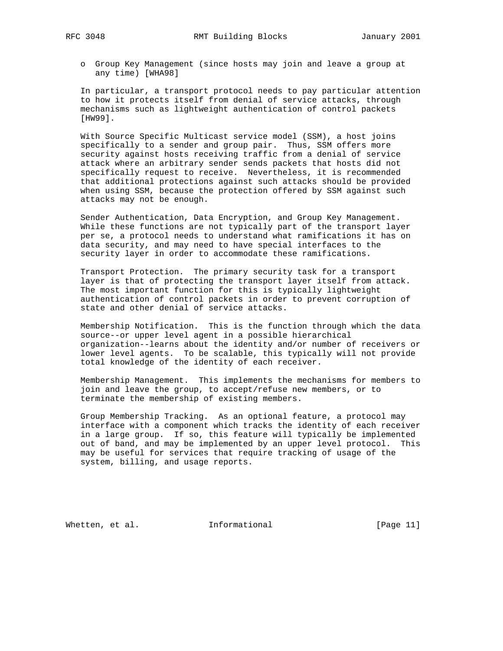o Group Key Management (since hosts may join and leave a group at any time) [WHA98]

 In particular, a transport protocol needs to pay particular attention to how it protects itself from denial of service attacks, through mechanisms such as lightweight authentication of control packets [HW99].

 With Source Specific Multicast service model (SSM), a host joins specifically to a sender and group pair. Thus, SSM offers more security against hosts receiving traffic from a denial of service attack where an arbitrary sender sends packets that hosts did not specifically request to receive. Nevertheless, it is recommended that additional protections against such attacks should be provided when using SSM, because the protection offered by SSM against such attacks may not be enough.

 Sender Authentication, Data Encryption, and Group Key Management. While these functions are not typically part of the transport layer per se, a protocol needs to understand what ramifications it has on data security, and may need to have special interfaces to the security layer in order to accommodate these ramifications.

 Transport Protection. The primary security task for a transport layer is that of protecting the transport layer itself from attack. The most important function for this is typically lightweight authentication of control packets in order to prevent corruption of state and other denial of service attacks.

 Membership Notification. This is the function through which the data source--or upper level agent in a possible hierarchical organization--learns about the identity and/or number of receivers or lower level agents. To be scalable, this typically will not provide total knowledge of the identity of each receiver.

 Membership Management. This implements the mechanisms for members to join and leave the group, to accept/refuse new members, or to terminate the membership of existing members.

 Group Membership Tracking. As an optional feature, a protocol may interface with a component which tracks the identity of each receiver in a large group. If so, this feature will typically be implemented out of band, and may be implemented by an upper level protocol. This may be useful for services that require tracking of usage of the system, billing, and usage reports.

Whetten, et al. **Informational** [Page 11]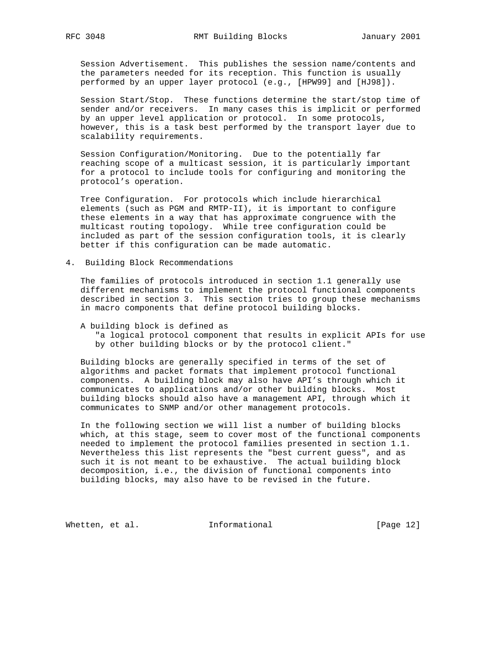Session Advertisement. This publishes the session name/contents and the parameters needed for its reception. This function is usually performed by an upper layer protocol (e.g., [HPW99] and [HJ98]).

 Session Start/Stop. These functions determine the start/stop time of sender and/or receivers. In many cases this is implicit or performed by an upper level application or protocol. In some protocols, however, this is a task best performed by the transport layer due to scalability requirements.

 Session Configuration/Monitoring. Due to the potentially far reaching scope of a multicast session, it is particularly important for a protocol to include tools for configuring and monitoring the protocol's operation.

 Tree Configuration. For protocols which include hierarchical elements (such as PGM and RMTP-II), it is important to configure these elements in a way that has approximate congruence with the multicast routing topology. While tree configuration could be included as part of the session configuration tools, it is clearly better if this configuration can be made automatic.

4. Building Block Recommendations

 The families of protocols introduced in section 1.1 generally use different mechanisms to implement the protocol functional components described in section 3. This section tries to group these mechanisms in macro components that define protocol building blocks.

#### A building block is defined as

 "a logical protocol component that results in explicit APIs for use by other building blocks or by the protocol client."

 Building blocks are generally specified in terms of the set of algorithms and packet formats that implement protocol functional components. A building block may also have API's through which it communicates to applications and/or other building blocks. Most building blocks should also have a management API, through which it communicates to SNMP and/or other management protocols.

 In the following section we will list a number of building blocks which, at this stage, seem to cover most of the functional components needed to implement the protocol families presented in section 1.1. Nevertheless this list represents the "best current guess", and as such it is not meant to be exhaustive. The actual building block decomposition, i.e., the division of functional components into building blocks, may also have to be revised in the future.

Whetten, et al. 1nformational [Page 12]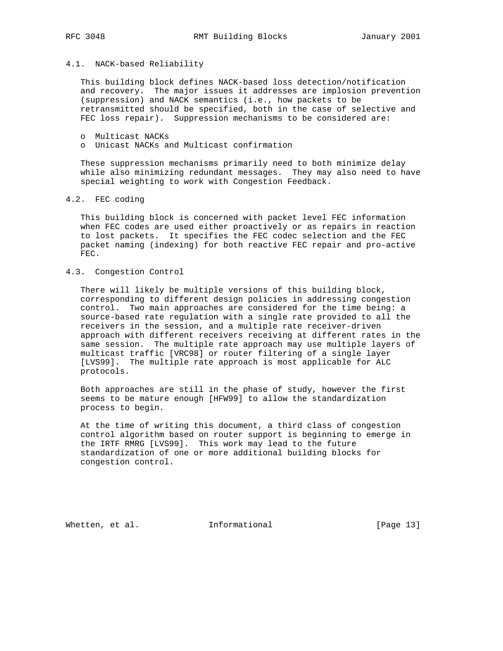## 4.1. NACK-based Reliability

 This building block defines NACK-based loss detection/notification and recovery. The major issues it addresses are implosion prevention (suppression) and NACK semantics (i.e., how packets to be retransmitted should be specified, both in the case of selective and FEC loss repair). Suppression mechanisms to be considered are:

- o Multicast NACKs
- o Unicast NACKs and Multicast confirmation

 These suppression mechanisms primarily need to both minimize delay while also minimizing redundant messages. They may also need to have special weighting to work with Congestion Feedback.

4.2. FEC coding

 This building block is concerned with packet level FEC information when FEC codes are used either proactively or as repairs in reaction to lost packets. It specifies the FEC codec selection and the FEC packet naming (indexing) for both reactive FEC repair and pro-active FEC.

## 4.3. Congestion Control

 There will likely be multiple versions of this building block, corresponding to different design policies in addressing congestion control. Two main approaches are considered for the time being: a source-based rate regulation with a single rate provided to all the receivers in the session, and a multiple rate receiver-driven approach with different receivers receiving at different rates in the same session. The multiple rate approach may use multiple layers of multicast traffic [VRC98] or router filtering of a single layer [LVS99]. The multiple rate approach is most applicable for ALC protocols.

 Both approaches are still in the phase of study, however the first seems to be mature enough [HFW99] to allow the standardization process to begin.

 At the time of writing this document, a third class of congestion control algorithm based on router support is beginning to emerge in the IRTF RMRG [LVS99]. This work may lead to the future standardization of one or more additional building blocks for congestion control.

Whetten, et al. **Informational** [Page 13]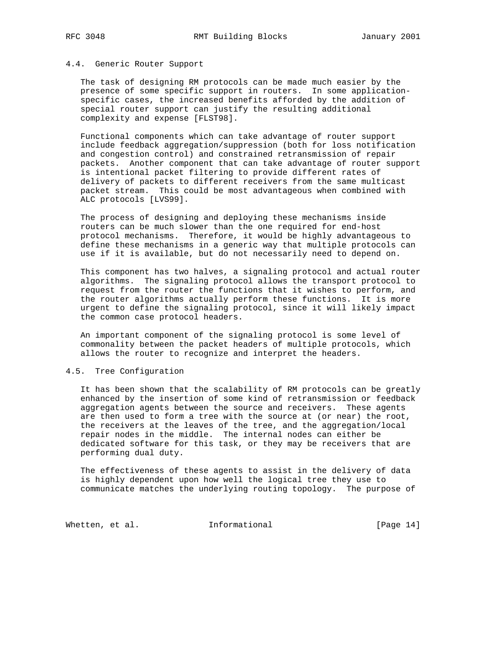### 4.4. Generic Router Support

 The task of designing RM protocols can be made much easier by the presence of some specific support in routers. In some application specific cases, the increased benefits afforded by the addition of special router support can justify the resulting additional complexity and expense [FLST98].

 Functional components which can take advantage of router support include feedback aggregation/suppression (both for loss notification and congestion control) and constrained retransmission of repair packets. Another component that can take advantage of router support is intentional packet filtering to provide different rates of delivery of packets to different receivers from the same multicast packet stream. This could be most advantageous when combined with ALC protocols [LVS99].

 The process of designing and deploying these mechanisms inside routers can be much slower than the one required for end-host protocol mechanisms. Therefore, it would be highly advantageous to define these mechanisms in a generic way that multiple protocols can use if it is available, but do not necessarily need to depend on.

 This component has two halves, a signaling protocol and actual router algorithms. The signaling protocol allows the transport protocol to request from the router the functions that it wishes to perform, and the router algorithms actually perform these functions. It is more urgent to define the signaling protocol, since it will likely impact the common case protocol headers.

 An important component of the signaling protocol is some level of commonality between the packet headers of multiple protocols, which allows the router to recognize and interpret the headers.

## 4.5. Tree Configuration

 It has been shown that the scalability of RM protocols can be greatly enhanced by the insertion of some kind of retransmission or feedback aggregation agents between the source and receivers. These agents are then used to form a tree with the source at (or near) the root, the receivers at the leaves of the tree, and the aggregation/local repair nodes in the middle. The internal nodes can either be dedicated software for this task, or they may be receivers that are performing dual duty.

 The effectiveness of these agents to assist in the delivery of data is highly dependent upon how well the logical tree they use to communicate matches the underlying routing topology. The purpose of

Whetten, et al. **Informational** [Page 14]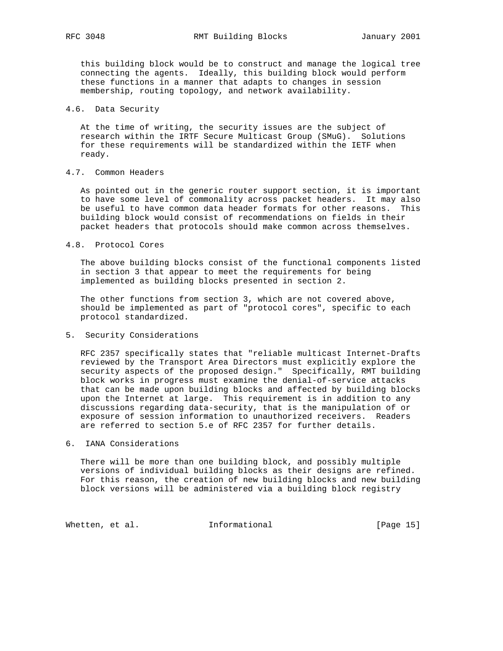this building block would be to construct and manage the logical tree connecting the agents. Ideally, this building block would perform these functions in a manner that adapts to changes in session membership, routing topology, and network availability.

## 4.6. Data Security

 At the time of writing, the security issues are the subject of research within the IRTF Secure Multicast Group (SMuG). Solutions for these requirements will be standardized within the IETF when ready.

# 4.7. Common Headers

 As pointed out in the generic router support section, it is important to have some level of commonality across packet headers. It may also be useful to have common data header formats for other reasons. This building block would consist of recommendations on fields in their packet headers that protocols should make common across themselves.

## 4.8. Protocol Cores

 The above building blocks consist of the functional components listed in section 3 that appear to meet the requirements for being implemented as building blocks presented in section 2.

 The other functions from section 3, which are not covered above, should be implemented as part of "protocol cores", specific to each protocol standardized.

## 5. Security Considerations

 RFC 2357 specifically states that "reliable multicast Internet-Drafts reviewed by the Transport Area Directors must explicitly explore the security aspects of the proposed design." Specifically, RMT building block works in progress must examine the denial-of-service attacks that can be made upon building blocks and affected by building blocks upon the Internet at large. This requirement is in addition to any discussions regarding data-security, that is the manipulation of or exposure of session information to unauthorized receivers. Readers are referred to section 5.e of RFC 2357 for further details.

# 6. IANA Considerations

 There will be more than one building block, and possibly multiple versions of individual building blocks as their designs are refined. For this reason, the creation of new building blocks and new building block versions will be administered via a building block registry

Whetten, et al. **Informational** [Page 15]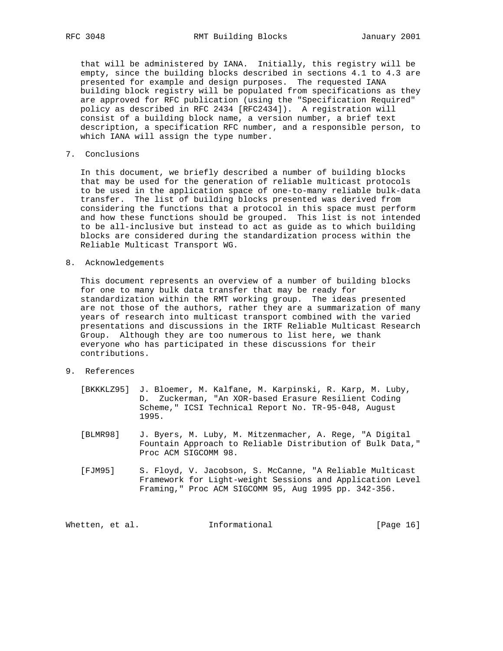that will be administered by IANA. Initially, this registry will be empty, since the building blocks described in sections 4.1 to 4.3 are presented for example and design purposes. The requested IANA building block registry will be populated from specifications as they are approved for RFC publication (using the "Specification Required" policy as described in RFC 2434 [RFC2434]). A registration will consist of a building block name, a version number, a brief text description, a specification RFC number, and a responsible person, to which IANA will assign the type number.

7. Conclusions

 In this document, we briefly described a number of building blocks that may be used for the generation of reliable multicast protocols to be used in the application space of one-to-many reliable bulk-data transfer. The list of building blocks presented was derived from considering the functions that a protocol in this space must perform and how these functions should be grouped. This list is not intended to be all-inclusive but instead to act as guide as to which building blocks are considered during the standardization process within the Reliable Multicast Transport WG.

8. Acknowledgements

 This document represents an overview of a number of building blocks for one to many bulk data transfer that may be ready for standardization within the RMT working group. The ideas presented are not those of the authors, rather they are a summarization of many years of research into multicast transport combined with the varied presentations and discussions in the IRTF Reliable Multicast Research Group. Although they are too numerous to list here, we thank everyone who has participated in these discussions for their contributions.

- 9. References
	- [BKKKLZ95] J. Bloemer, M. Kalfane, M. Karpinski, R. Karp, M. Luby, D. Zuckerman, "An XOR-based Erasure Resilient Coding Scheme," ICSI Technical Report No. TR-95-048, August 1995.
	- [BLMR98] J. Byers, M. Luby, M. Mitzenmacher, A. Rege, "A Digital Fountain Approach to Reliable Distribution of Bulk Data," Proc ACM SIGCOMM 98.
	- [FJM95] S. Floyd, V. Jacobson, S. McCanne, "A Reliable Multicast Framework for Light-weight Sessions and Application Level Framing," Proc ACM SIGCOMM 95, Aug 1995 pp. 342-356.

Whetten, et al. 1nformational 1999 [Page 16]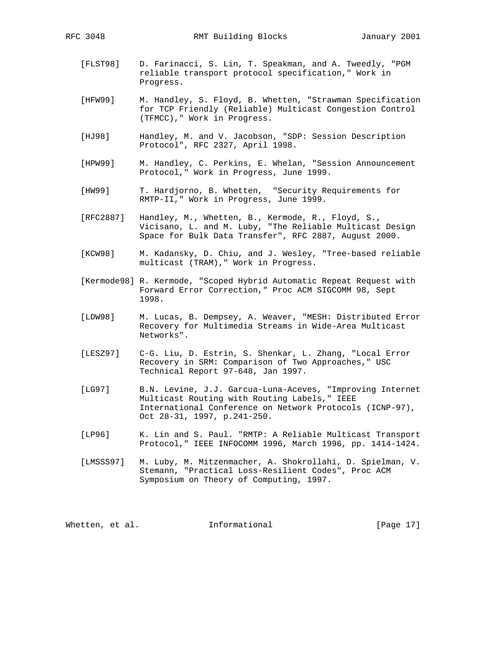[FLST98] D. Farinacci, S. Lin, T. Speakman, and A. Tweedly, "PGM reliable transport protocol specification," Work in

Progress.

- [HFW99] M. Handley, S. Floyd, B. Whetten, "Strawman Specification for TCP Friendly (Reliable) Multicast Congestion Control (TFMCC)," Work in Progress.
- [HJ98] Handley, M. and V. Jacobson, "SDP: Session Description Protocol", RFC 2327, April 1998.
- [HPW99] M. Handley, C. Perkins, E. Whelan, "Session Announcement Protocol," Work in Progress, June 1999.
- [HW99] T. Hardjorno, B. Whetten, "Security Requirements for RMTP-II," Work in Progress, June 1999.
- [RFC2887] Handley, M., Whetten, B., Kermode, R., Floyd, S., Vicisano, L. and M. Luby, "The Reliable Multicast Design Space for Bulk Data Transfer", RFC 2887, August 2000.
- [KCW98] M. Kadansky, D. Chiu, and J. Wesley, "Tree-based reliable multicast (TRAM)," Work in Progress.
- [Kermode98] R. Kermode, "Scoped Hybrid Automatic Repeat Request with Forward Error Correction," Proc ACM SIGCOMM 98, Sept 1998.
- [LDW98] M. Lucas, B. Dempsey, A. Weaver, "MESH: Distributed Error Recovery for Multimedia Streams in Wide-Area Multicast Networks".
- [LESZ97] C-G. Liu, D. Estrin, S. Shenkar, L. Zhang, "Local Error Recovery in SRM: Comparison of Two Approaches," USC Technical Report 97-648, Jan 1997.
- [LG97] B.N. Levine, J.J. Garcua-Luna-Aceves, "Improving Internet Multicast Routing with Routing Labels," IEEE International Conference on Network Protocols (ICNP-97), Oct 28-31, 1997, p.241-250.
- [LP96] K. Lin and S. Paul. "RMTP: A Reliable Multicast Transport Protocol," IEEE INFOCOMM 1996, March 1996, pp. 1414-1424.
- [LMSSS97] M. Luby, M. Mitzenmacher, A. Shokrollahi, D. Spielman, V. Stemann, "Practical Loss-Resilient Codes", Proc ACM Symposium on Theory of Computing, 1997.

Whetten, et al. **Informational** [Page 17]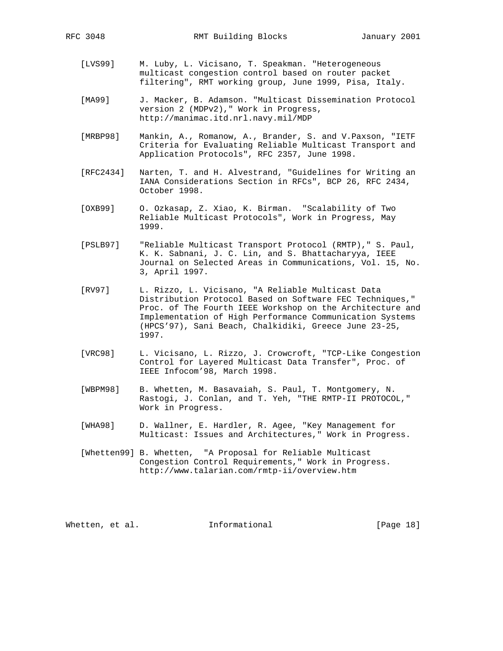- [LVS99] M. Luby, L. Vicisano, T. Speakman. "Heterogeneous multicast congestion control based on router packet filtering", RMT working group, June 1999, Pisa, Italy.
- [MA99] J. Macker, B. Adamson. "Multicast Dissemination Protocol version 2 (MDPv2)," Work in Progress, http://manimac.itd.nrl.navy.mil/MDP
- [MRBP98] Mankin, A., Romanow, A., Brander, S. and V.Paxson, "IETF Criteria for Evaluating Reliable Multicast Transport and Application Protocols", RFC 2357, June 1998.
- [RFC2434] Narten, T. and H. Alvestrand, "Guidelines for Writing an IANA Considerations Section in RFCs", BCP 26, RFC 2434, October 1998.
- [OXB99] O. Ozkasap, Z. Xiao, K. Birman. "Scalability of Two Reliable Multicast Protocols", Work in Progress, May 1999.
- [PSLB97] "Reliable Multicast Transport Protocol (RMTP)," S. Paul, K. K. Sabnani, J. C. Lin, and S. Bhattacharyya, IEEE Journal on Selected Areas in Communications, Vol. 15, No. 3, April 1997.
- [RV97] L. Rizzo, L. Vicisano, "A Reliable Multicast Data Distribution Protocol Based on Software FEC Techniques," Proc. of The Fourth IEEE Workshop on the Architecture and Implementation of High Performance Communication Systems (HPCS'97), Sani Beach, Chalkidiki, Greece June 23-25, 1997.
- [VRC98] L. Vicisano, L. Rizzo, J. Crowcroft, "TCP-Like Congestion Control for Layered Multicast Data Transfer", Proc. of IEEE Infocom'98, March 1998.
- [WBPM98] B. Whetten, M. Basavaiah, S. Paul, T. Montgomery, N. Rastogi, J. Conlan, and T. Yeh, "THE RMTP-II PROTOCOL," Work in Progress.
- [WHA98] D. Wallner, E. Hardler, R. Agee, "Key Management for Multicast: Issues and Architectures," Work in Progress.
- [Whetten99] B. Whetten, "A Proposal for Reliable Multicast Congestion Control Requirements," Work in Progress. http://www.talarian.com/rmtp-ii/overview.htm

Whetten, et al. **Informational** [Page 18]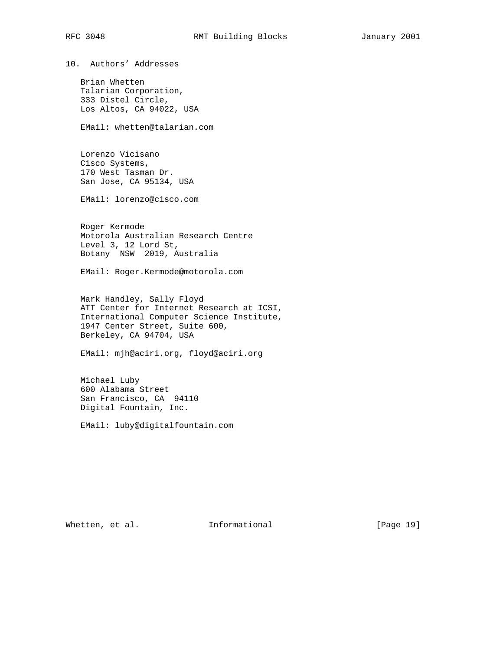10. Authors' Addresses

 Brian Whetten Talarian Corporation, 333 Distel Circle, Los Altos, CA 94022, USA

EMail: whetten@talarian.com

 Lorenzo Vicisano Cisco Systems, 170 West Tasman Dr. San Jose, CA 95134, USA

EMail: lorenzo@cisco.com

 Roger Kermode Motorola Australian Research Centre Level 3, 12 Lord St, Botany NSW 2019, Australia

EMail: Roger.Kermode@motorola.com

 Mark Handley, Sally Floyd ATT Center for Internet Research at ICSI, International Computer Science Institute, 1947 Center Street, Suite 600, Berkeley, CA 94704, USA

EMail: mjh@aciri.org, floyd@aciri.org

 Michael Luby 600 Alabama Street San Francisco, CA 94110 Digital Fountain, Inc.

EMail: luby@digitalfountain.com

Whetten, et al. 1nformational [Page 19]